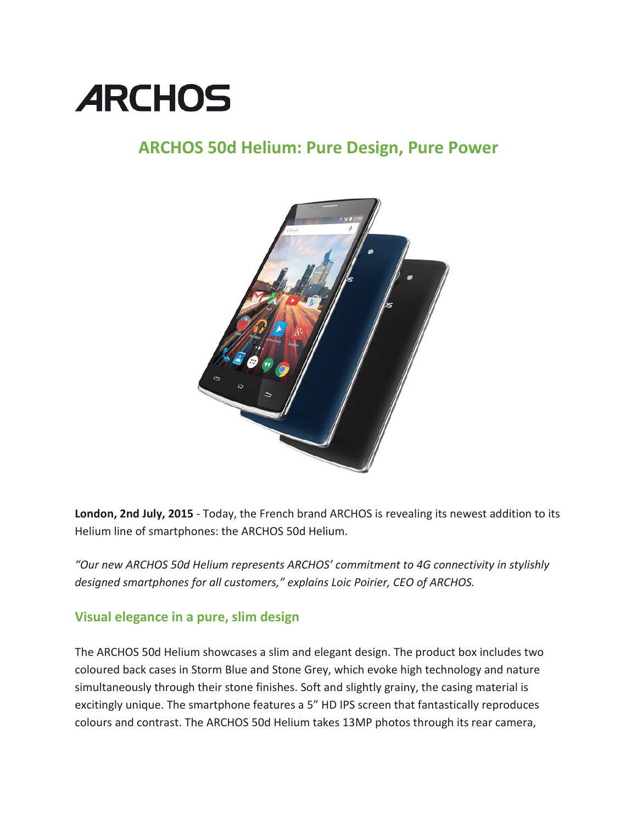# **ARCHOS**

## **ARCHOS 50d Helium: Pure Design, Pure Power**



**London, 2nd July, 2015** - Today, the French brand ARCHOS is revealing its newest addition to its Helium line of smartphones: the ARCHOS 50d Helium.

*"Our new ARCHOS 50d Helium represents ARCHOS' commitment to 4G connectivity in stylishly designed smartphones for all customers," explains Loic Poirier, CEO of ARCHOS.* 

#### **Visual elegance in a pure, slim design**

The ARCHOS 50d Helium showcases a slim and elegant design. The product box includes two coloured back cases in Storm Blue and Stone Grey, which evoke high technology and nature simultaneously through their stone finishes. Soft and slightly grainy, the casing material is excitingly unique. The smartphone features a 5" HD IPS screen that fantastically reproduces colours and contrast. The ARCHOS 50d Helium takes 13MP photos through its rear camera,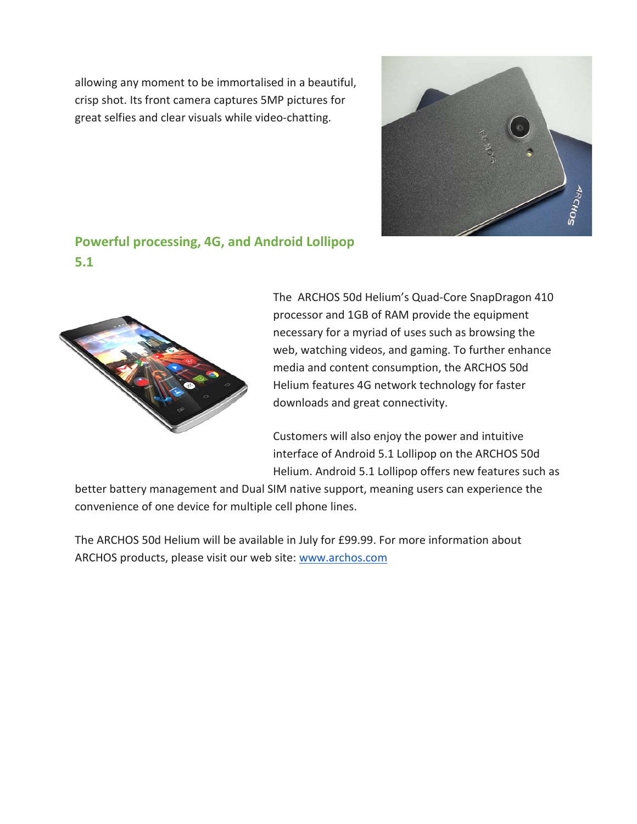allowing any moment to be immortalised in a beautiful, crisp shot. Its front camera captures 5MP pictures for great selfies and clear visuals while video-chatting.



### **Powerful processing, 4G, and Android Lollipop 5.1**



The ARCHOS 50d Helium's Quad-Core SnapDragon 410 processor and 1GB of RAM provide the equipment necessary for a myriad of uses such as browsing the web, watching videos, and gaming. To further enhance media and content consumption, the ARCHOS 50d Helium features 4G network technology for faster downloads and great connectivity.

Customers will also enjoy the power and intuitive interface of Android 5.1 Lollipop on the ARCHOS 50d Helium. Android 5.1 Lollipop offers new features such as

better battery management and Dual SIM native support, meaning users can experience the convenience of one device for multiple cell phone lines.

The ARCHOS 50d Helium will be available in July for £99.99. For more information about ARCHOS products, please visit our web site: [www.archos.com](http://www.archos.com/)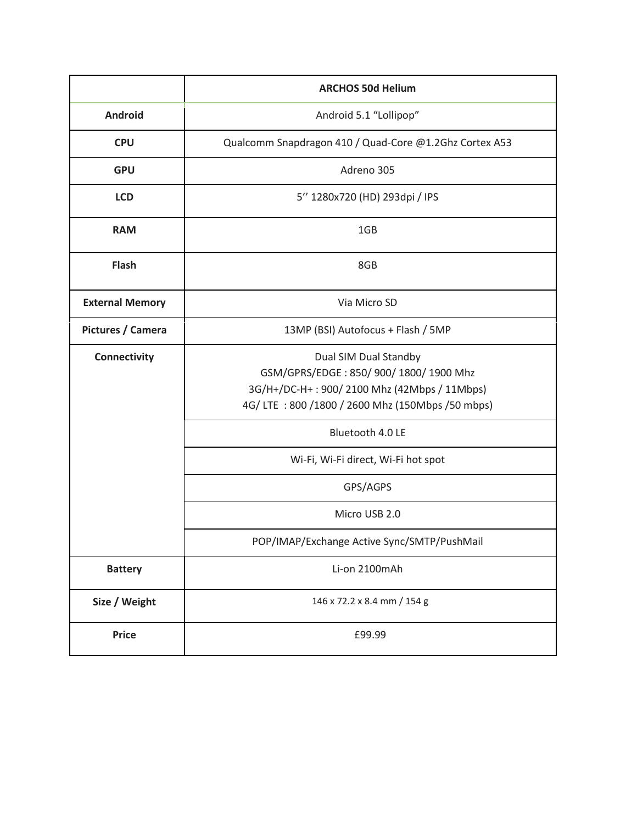|                        | <b>ARCHOS 50d Helium</b>                                                                                                                                    |
|------------------------|-------------------------------------------------------------------------------------------------------------------------------------------------------------|
| Android                | Android 5.1 "Lollipop"                                                                                                                                      |
| <b>CPU</b>             | Qualcomm Snapdragon 410 / Quad-Core @1.2Ghz Cortex A53                                                                                                      |
| <b>GPU</b>             | Adreno 305                                                                                                                                                  |
| <b>LCD</b>             | 5" 1280x720 (HD) 293dpi / IPS                                                                                                                               |
| <b>RAM</b>             | 1GB                                                                                                                                                         |
| <b>Flash</b>           | 8GB                                                                                                                                                         |
| <b>External Memory</b> | Via Micro SD                                                                                                                                                |
| Pictures / Camera      | 13MP (BSI) Autofocus + Flash / 5MP                                                                                                                          |
| Connectivity           | Dual SIM Dual Standby<br>GSM/GPRS/EDGE: 850/900/1800/1900 Mhz<br>3G/H+/DC-H+: 900/2100 Mhz (42Mbps / 11Mbps)<br>4G/LTE: 800/1800/2600 Mhz (150Mbps/50 mbps) |
|                        | Bluetooth 4.0 LE                                                                                                                                            |
|                        | Wi-Fi, Wi-Fi direct, Wi-Fi hot spot                                                                                                                         |
|                        | GPS/AGPS                                                                                                                                                    |
|                        | Micro USB 2.0                                                                                                                                               |
|                        | POP/IMAP/Exchange Active Sync/SMTP/PushMail                                                                                                                 |
| <b>Battery</b>         | Li-on 2100mAh                                                                                                                                               |
| Size / Weight          | 146 x 72.2 x 8.4 mm / 154 g                                                                                                                                 |
| <b>Price</b>           | £99.99                                                                                                                                                      |